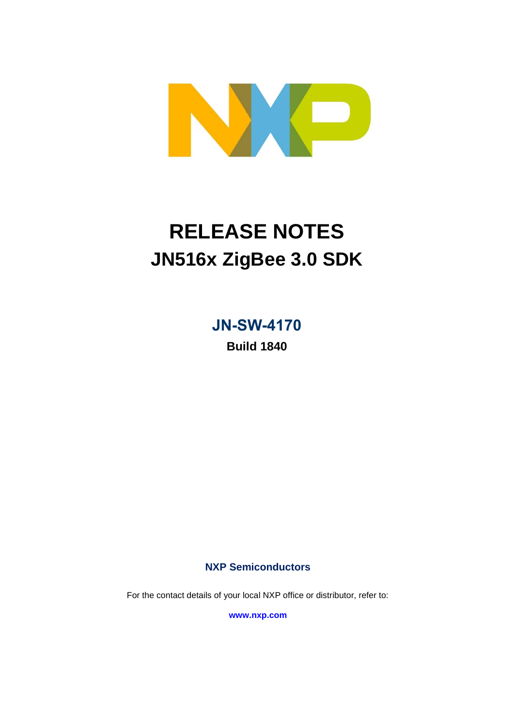

# **RELEASE NOTES JN516x ZigBee 3.0 SDK**

**JN-SW-4170**

**Build 1840**

**NXP Semiconductors**

For the contact details of your local NXP office or distributor, refer to:

**[www.nxp.com](http://www.nxp.com/)**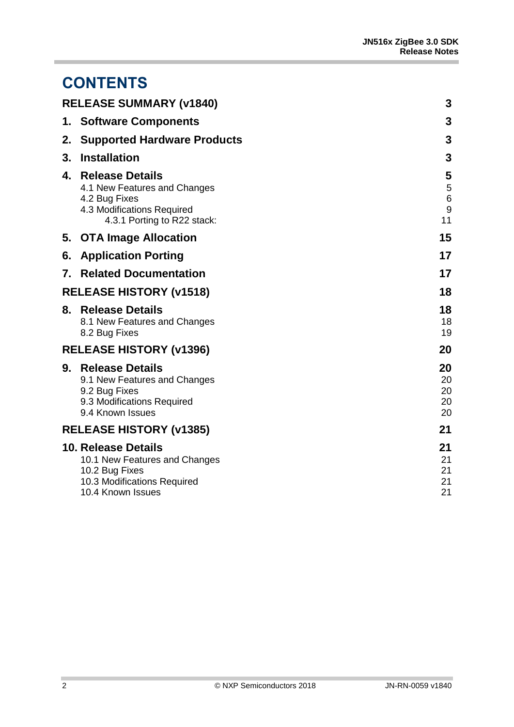## **CONTENTS**

|    | <b>RELEASE SUMMARY (v1840)</b>                                                                                                       | 3                              |
|----|--------------------------------------------------------------------------------------------------------------------------------------|--------------------------------|
|    | 1. Software Components                                                                                                               | 3                              |
| 2. | <b>Supported Hardware Products</b>                                                                                                   | 3                              |
| 3. | <b>Installation</b>                                                                                                                  | 3                              |
| 4. | <b>Release Details</b><br>4.1 New Features and Changes<br>4.2 Bug Fixes<br>4.3 Modifications Required<br>4.3.1 Porting to R22 stack: | 5<br>5<br>$\,6$<br>$9\,$<br>11 |
|    | 5. OTA Image Allocation                                                                                                              | 15                             |
| 6. | <b>Application Porting</b>                                                                                                           | 17                             |
| 7. | <b>Related Documentation</b>                                                                                                         | 17                             |
|    | <b>RELEASE HISTORY (v1518)</b>                                                                                                       | 18                             |
| 8. | <b>Release Details</b><br>8.1 New Features and Changes<br>8.2 Bug Fixes                                                              | 18<br>18<br>19                 |
|    | <b>RELEASE HISTORY (v1396)</b>                                                                                                       | 20                             |
|    | 9. Release Details<br>9.1 New Features and Changes<br>9.2 Bug Fixes<br>9.3 Modifications Required<br>9.4 Known Issues                | 20<br>20<br>20<br>20<br>20     |
|    | <b>RELEASE HISTORY (v1385)</b>                                                                                                       | 21                             |
|    | <b>10. Release Details</b><br>10.1 New Features and Changes<br>10.2 Bug Fixes<br>10.3 Modifications Required<br>10.4 Known Issues    | 21<br>21<br>21<br>21<br>21     |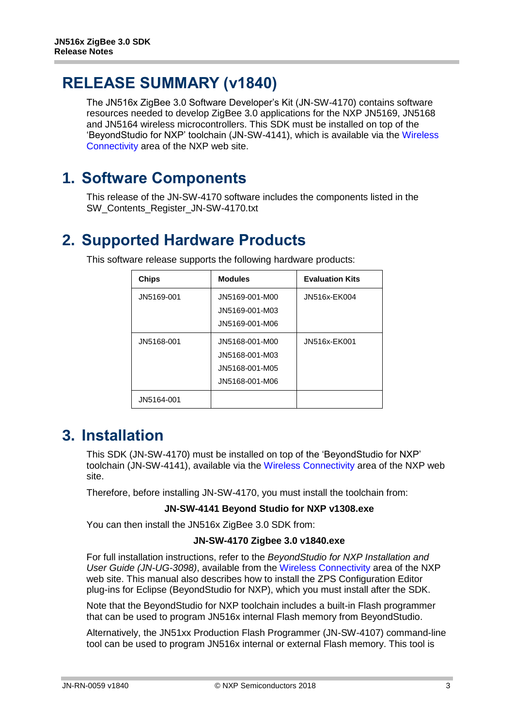## <span id="page-2-0"></span>**RELEASE SUMMARY (v1840)**

The JN516x ZigBee 3.0 Software Developer's Kit (JN-SW-4170) contains software resources needed to develop ZigBee 3.0 applications for the NXP JN5169, JN5168 and JN5164 wireless microcontrollers. This SDK must be installed on top of the 'BeyondStudio for NXP' toolchain (JN-SW-4141), which is available via the [Wireless](http://www.nxp.com/products/wireless-connectivity:WIRELESS-CONNECTIVITY)  [Connectivity](http://www.nxp.com/products/wireless-connectivity:WIRELESS-CONNECTIVITY) area of the NXP web site.

### <span id="page-2-1"></span>**1. Software Components**

This release of the JN-SW-4170 software includes the components listed in the SW\_Contents\_Register\_JN-SW-4170.txt

## <span id="page-2-2"></span>**2. Supported Hardware Products**

| <b>Chips</b> | <b>Modules</b> | <b>Evaluation Kits</b> |
|--------------|----------------|------------------------|
| JN5169-001   | JN5169-001-M00 | JN516x-EK004           |
|              | JN5169-001-M03 |                        |
|              | JN5169-001-M06 |                        |
| JN5168-001   | JN5168-001-M00 | JN516x-EK001           |
|              | JN5168-001-M03 |                        |
|              | JN5168-001-M05 |                        |
|              | JN5168-001-M06 |                        |
| JN5164-001   |                |                        |

This software release supports the following hardware products:

## <span id="page-2-3"></span>**3. Installation**

This SDK (JN-SW-4170) must be installed on top of the 'BeyondStudio for NXP' toolchain (JN-SW-4141), available via the [Wireless Connectivity](http://www.nxp.com/products/wireless-connectivity:WIRELESS-CONNECTIVITY) area of the NXP web site.

Therefore, before installing JN-SW-4170, you must install the toolchain from:

#### **JN-SW-4141 Beyond Studio for NXP v1308.exe**

You can then install the JN516x ZigBee 3.0 SDK from:

#### **JN-SW-4170 Zigbee 3.0 v1840.exe**

For full installation instructions, refer to the *BeyondStudio for NXP Installation and User Guide (JN-UG-3098)*, available from the [Wireless Connectivity](http://www.nxp.com/products/wireless-connectivity:WIRELESS-CONNECTIVITY) area of the NXP web site. This manual also describes how to install the ZPS Configuration Editor plug-ins for Eclipse (BeyondStudio for NXP), which you must install after the SDK.

Note that the BeyondStudio for NXP toolchain includes a built-in Flash programmer that can be used to program JN516x internal Flash memory from BeyondStudio.

Alternatively, the JN51xx Production Flash Programmer (JN-SW-4107) command-line tool can be used to program JN516x internal or external Flash memory. This tool is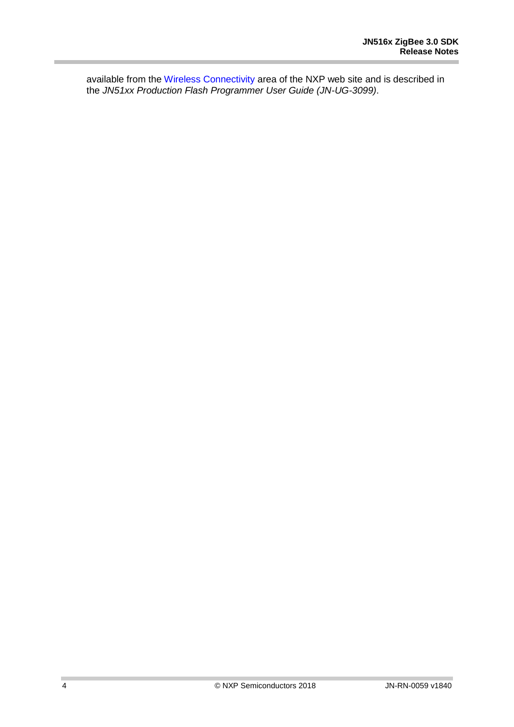available from the [Wireless Connectivity](http://www.nxp.com/products/wireless-connectivity:WIRELESS-CONNECTIVITY) area of the NXP web site and is described in the *JN51xx Production Flash Programmer User Guide (JN-UG-3099)*.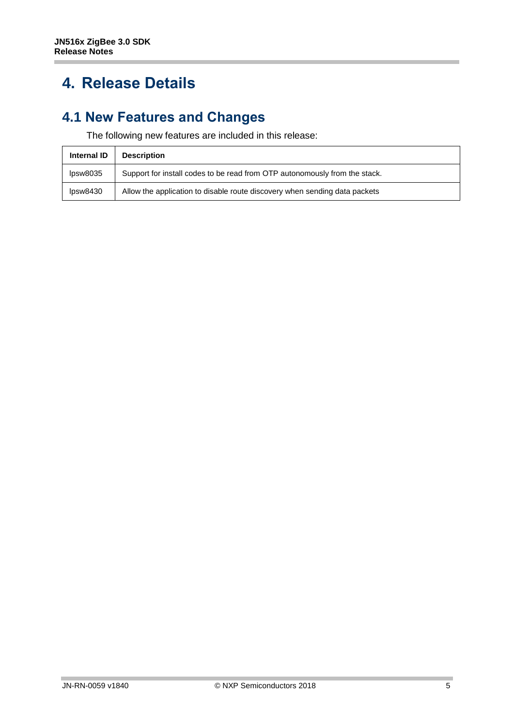## <span id="page-4-0"></span>**4. Release Details**

#### <span id="page-4-1"></span>**4.1 New Features and Changes**

The following new features are included in this release:

| <b>Internal ID</b> | <b>Description</b>                                                         |
|--------------------|----------------------------------------------------------------------------|
| lpsw8035           | Support for install codes to be read from OTP autonomously from the stack. |
| lpsw8430           | Allow the application to disable route discovery when sending data packets |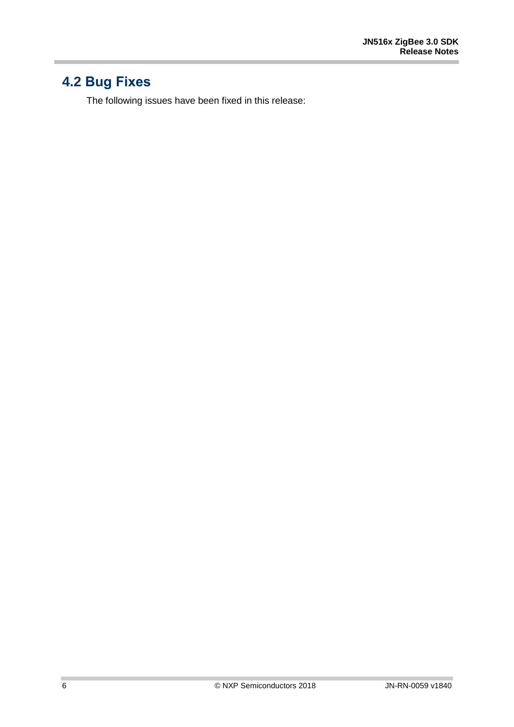## <span id="page-5-0"></span>**4.2 Bug Fixes**

The following issues have been fixed in this release: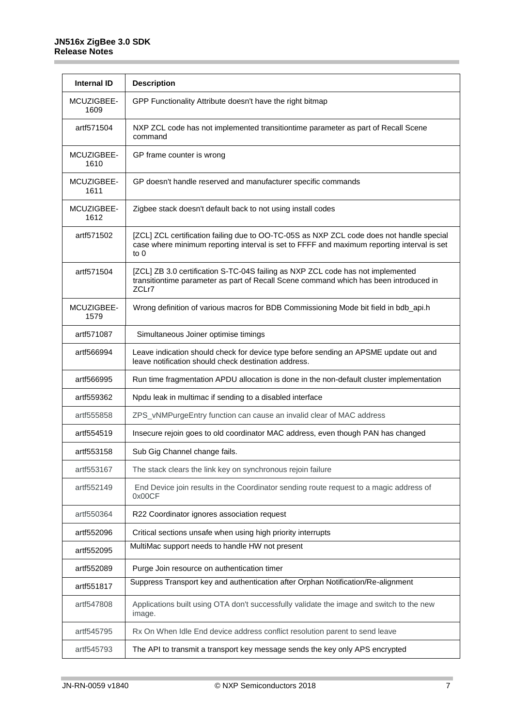| <b>Internal ID</b> | <b>Description</b>                                                                                                                                                                               |
|--------------------|--------------------------------------------------------------------------------------------------------------------------------------------------------------------------------------------------|
| MCUZIGBEE-<br>1609 | GPP Functionality Attribute doesn't have the right bitmap                                                                                                                                        |
| artf571504         | NXP ZCL code has not implemented transitiontime parameter as part of Recall Scene<br>command                                                                                                     |
| MCUZIGBEE-<br>1610 | GP frame counter is wrong                                                                                                                                                                        |
| MCUZIGBEE-<br>1611 | GP doesn't handle reserved and manufacturer specific commands                                                                                                                                    |
| MCUZIGBEE-<br>1612 | Zigbee stack doesn't default back to not using install codes                                                                                                                                     |
| artf571502         | [ZCL] ZCL certification failing due to OO-TC-05S as NXP ZCL code does not handle special<br>case where minimum reporting interval is set to FFFF and maximum reporting interval is set<br>to $0$ |
| artf571504         | [ZCL] ZB 3.0 certification S-TC-04S failing as NXP ZCL code has not implemented<br>transitiontime parameter as part of Recall Scene command which has been introduced in<br>ZCLr7                |
| MCUZIGBEE-<br>1579 | Wrong definition of various macros for BDB Commissioning Mode bit field in bdb_api.h                                                                                                             |
| artf571087         | Simultaneous Joiner optimise timings                                                                                                                                                             |
| artf566994         | Leave indication should check for device type before sending an APSME update out and<br>leave notification should check destination address.                                                     |
| artf566995         | Run time fragmentation APDU allocation is done in the non-default cluster implementation                                                                                                         |
| artf559362         | Npdu leak in multimac if sending to a disabled interface                                                                                                                                         |
| artf555858         | ZPS_vNMPurgeEntry function can cause an invalid clear of MAC address                                                                                                                             |
| artf554519         | Insecure rejoin goes to old coordinator MAC address, even though PAN has changed                                                                                                                 |
| artf553158         | Sub Gig Channel change fails.                                                                                                                                                                    |
| artf553167         | The stack clears the link key on synchronous rejoin failure                                                                                                                                      |
| artf552149         | End Device join results in the Coordinator sending route request to a magic address of<br>0x00CF                                                                                                 |
| artf550364         | R22 Coordinator ignores association request                                                                                                                                                      |
| artf552096         | Critical sections unsafe when using high priority interrupts                                                                                                                                     |
| artf552095         | MultiMac support needs to handle HW not present                                                                                                                                                  |
| artf552089         | Purge Join resource on authentication timer                                                                                                                                                      |
| artf551817         | Suppress Transport key and authentication after Orphan Notification/Re-alignment                                                                                                                 |
| artf547808         | Applications built using OTA don't successfully validate the image and switch to the new<br>image.                                                                                               |
| artf545795         | Rx On When Idle End device address conflict resolution parent to send leave                                                                                                                      |
| artf545793         | The API to transmit a transport key message sends the key only APS encrypted                                                                                                                     |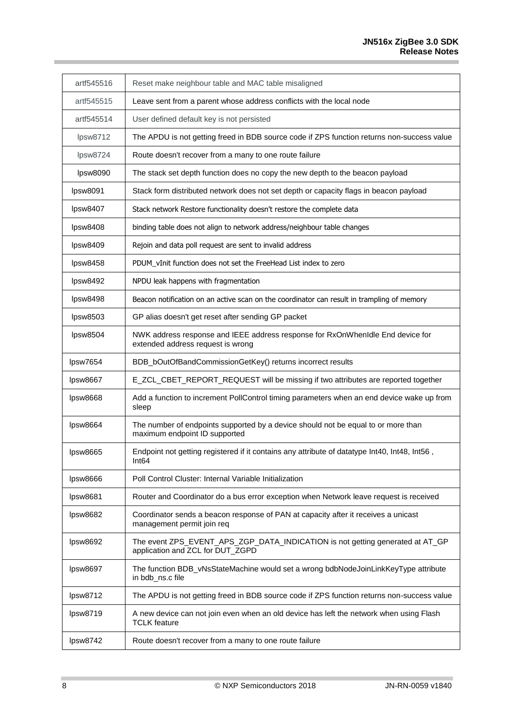i

| artf545516 | Reset make neighbour table and MAC table misaligned                                                                 |
|------------|---------------------------------------------------------------------------------------------------------------------|
| artf545515 | Leave sent from a parent whose address conflicts with the local node                                                |
| artf545514 | User defined default key is not persisted                                                                           |
| lpsw8712   | The APDU is not getting freed in BDB source code if ZPS function returns non-success value                          |
| lpsw8724   | Route doesn't recover from a many to one route failure                                                              |
| lpsw8090   | The stack set depth function does no copy the new depth to the beacon payload                                       |
| lpsw8091   | Stack form distributed network does not set depth or capacity flags in beacon payload                               |
| lpsw8407   | Stack network Restore functionality doesn't restore the complete data                                               |
| lpsw8408   | binding table does not align to network address/neighbour table changes                                             |
| lpsw8409   | Rejoin and data poll request are sent to invalid address                                                            |
| lpsw8458   | PDUM_vInit function does not set the FreeHead List index to zero                                                    |
| lpsw8492   | NPDU leak happens with fragmentation                                                                                |
| lpsw8498   | Beacon notification on an active scan on the coordinator can result in trampling of memory                          |
| lpsw8503   | GP alias doesn't get reset after sending GP packet                                                                  |
| lpsw8504   | NWK address response and IEEE address response for RxOnWhenIdle End device for<br>extended address request is wrong |
| lpsw7654   | BDB_bOutOfBandCommissionGetKey() returns incorrect results                                                          |
| lpsw8667   | E_ZCL_CBET_REPORT_REQUEST will be missing if two attributes are reported together                                   |
| lpsw8668   | Add a function to increment PollControl timing parameters when an end device wake up from<br>sleep                  |
| lpsw8664   | The number of endpoints supported by a device should not be equal to or more than<br>maximum endpoint ID supported  |
| lpsw8665   | Endpoint not getting registered if it contains any attribute of datatype Int40, Int48, Int56,<br>Int64              |
| lpsw8666   | Poll Control Cluster: Internal Variable Initialization                                                              |
| lpsw8681   | Router and Coordinator do a bus error exception when Network leave request is received                              |
| lpsw8682   | Coordinator sends a beacon response of PAN at capacity after it receives a unicast<br>management permit join req    |
| lpsw8692   | The event ZPS_EVENT_APS_ZGP_DATA_INDICATION is not getting generated at AT_GP<br>application and ZCL for DUT_ZGPD   |
| lpsw8697   | The function BDB_vNsStateMachine would set a wrong bdbNodeJoinLinkKeyType attribute<br>in bdb_ns.c file             |
| lpsw8712   | The APDU is not getting freed in BDB source code if ZPS function returns non-success value                          |
| lpsw8719   | A new device can not join even when an old device has left the network when using Flash<br><b>TCLK</b> feature      |
| lpsw8742   | Route doesn't recover from a many to one route failure                                                              |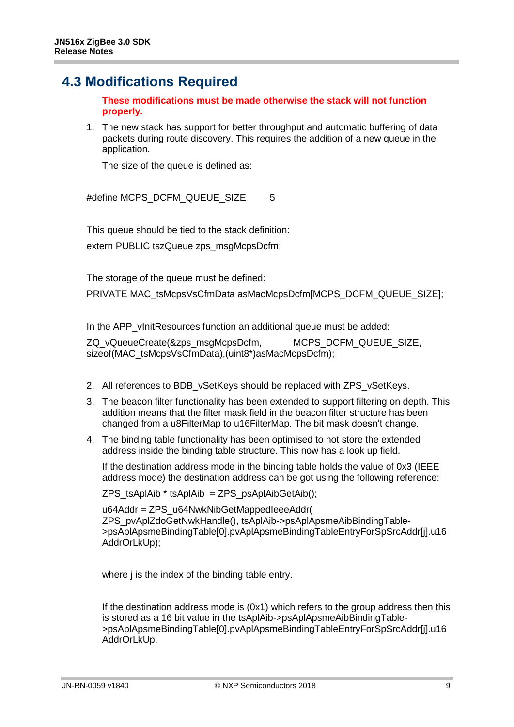#### <span id="page-8-0"></span>**4.3 Modifications Required**

**These modifications must be made otherwise the stack will not function properly.**

1. The new stack has support for better throughput and automatic buffering of data packets during route discovery. This requires the addition of a new queue in the application.

The size of the queue is defined as:

#define MCPS\_DCFM\_QUEUE\_SIZE 5

This queue should be tied to the stack definition: extern PUBLIC tszQueue zps\_msgMcpsDcfm;

The storage of the queue must be defined:

PRIVATE MAC\_tsMcpsVsCfmData asMacMcpsDcfm[MCPS\_DCFM\_QUEUE\_SIZE];

In the APP vInitResources function an additional queue must be added:

ZQ\_vQueueCreate(&zps\_msgMcpsDcfm, MCPS\_DCFM\_QUEUE\_SIZE, sizeof(MAC\_tsMcpsVsCfmData),(uint8\*)asMacMcpsDcfm);

- 2. All references to BDB\_vSetKeys should be replaced with ZPS\_vSetKeys.
- 3. The beacon filter functionality has been extended to support filtering on depth. This addition means that the filter mask field in the beacon filter structure has been changed from a u8FilterMap to u16FilterMap. The bit mask doesn't change.
- 4. The binding table functionality has been optimised to not store the extended address inside the binding table structure. This now has a look up field.

If the destination address mode in the binding table holds the value of 0x3 (IEEE address mode) the destination address can be got using the following reference:

 $ZPS$  tsAplAib  $*$  tsAplAib = ZPS\_psAplAibGetAib();

u64Addr = ZPS\_u64NwkNibGetMappedIeeeAddr( ZPS\_pvAplZdoGetNwkHandle(), tsAplAib->psAplApsmeAibBindingTable- >psAplApsmeBindingTable[0].pvAplApsmeBindingTableEntryForSpSrcAddr[j].u16 AddrOrLkUp);

where *j* is the index of the binding table entry.

If the destination address mode is (0x1) which refers to the group address then this is stored as a 16 bit value in the tsAplAib->psAplApsmeAibBindingTable- >psAplApsmeBindingTable[0].pvAplApsmeBindingTableEntryForSpSrcAddr[j].u16 AddrOrLkUp.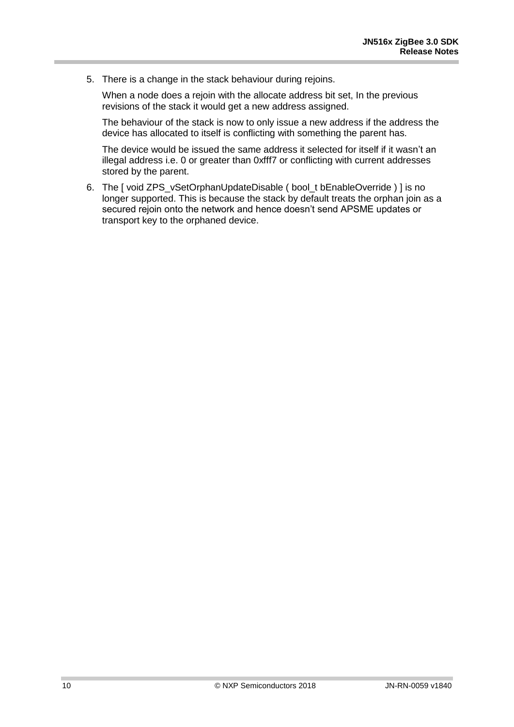5. There is a change in the stack behaviour during rejoins.

When a node does a rejoin with the allocate address bit set, In the previous revisions of the stack it would get a new address assigned.

The behaviour of the stack is now to only issue a new address if the address the device has allocated to itself is conflicting with something the parent has.

The device would be issued the same address it selected for itself if it wasn't an illegal address i.e. 0 or greater than 0xfff7 or conflicting with current addresses stored by the parent.

6. The [ void ZPS\_vSetOrphanUpdateDisable ( bool\_t bEnableOverride ) ] is no longer supported. This is because the stack by default treats the orphan join as a secured rejoin onto the network and hence doesn't send APSME updates or transport key to the orphaned device.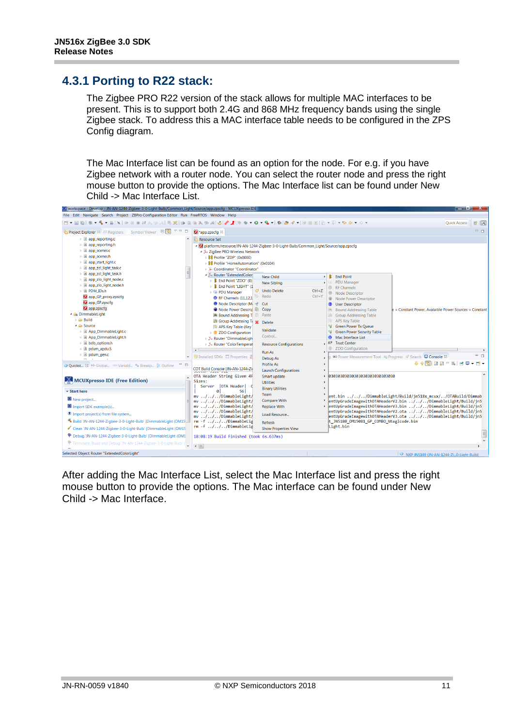#### <span id="page-10-0"></span>**4.3.1 Porting to R22 stack:**

The Zigbee PRO R22 version of the stack allows for multiple MAC interfaces to be present. This is to support both 2.4G and 868 MHz frequency bands using the single Zigbee stack. To address this a MAC interface table needs to be configured in the ZPS Config diagram.

The Mac Interface list can be found as an option for the node. For e.g. if you have Zigbee network with a router node. You can select the router node and press the right mouse button to provide the options. The Mac Interface list can be found under New Child -> Mac Interface List.



After adding the Mac Interface List, select the Mac Interface list and press the right mouse button to provide the options. The Mac interface can be found under New Child -> Mac Interface.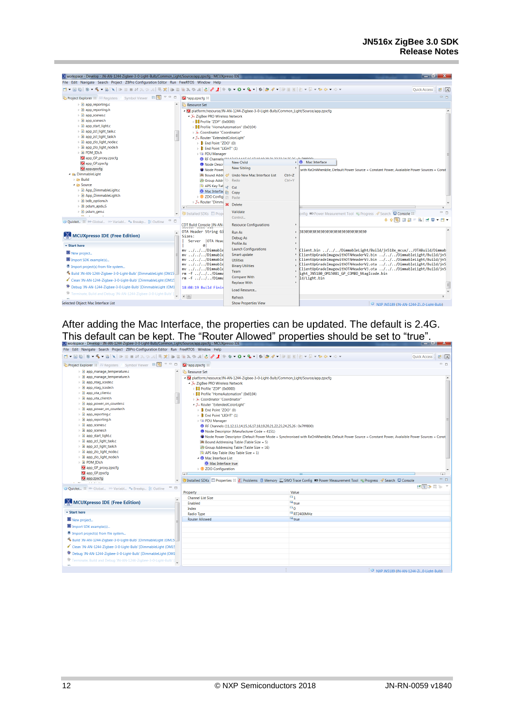| V workspace - Develop - JN-AN-1244-Zigbee-3-0-Light-Bulb/Common_Light/Source/app.zpscfq - MCUXpresso IDE |                                                         |                                                                                      |                                                                | $\Box$ of $\chi$                                                                                                                     |
|----------------------------------------------------------------------------------------------------------|---------------------------------------------------------|--------------------------------------------------------------------------------------|----------------------------------------------------------------|--------------------------------------------------------------------------------------------------------------------------------------|
| File Edit Navigate Search Project ZBPro Configuration Editor Run FreeRTOS Window Help                    |                                                         |                                                                                      |                                                                |                                                                                                                                      |
|                                                                                                          |                                                         |                                                                                      |                                                                | Quick Access :<br>■ 区                                                                                                                |
| Project Explorer & Will Registers & Symbol Viewer $\Box$                                                 | app.zpscfg &                                            |                                                                                      |                                                                | $=$ $\Box$                                                                                                                           |
| $\triangleright$ <b>e</b> app_reporting.c                                                                | Resource Set                                            |                                                                                      |                                                                |                                                                                                                                      |
| in app reporting.h                                                                                       |                                                         | - platform:/resource/JN-AN-1244-Zigbee-3-0-Light-Bulb/Common_Light/Source/app.zpscfq |                                                                |                                                                                                                                      |
| <b>D</b> app_scenes.c                                                                                    | ▲ ‰ ZigBee PRO Wireless Network                         |                                                                                      |                                                                |                                                                                                                                      |
| b in app scenes.h                                                                                        | <b>B</b> Profile "ZDP" (0x0000)                         |                                                                                      |                                                                |                                                                                                                                      |
| ▷ <b><i>e</i></b> app_start_light.c                                                                      | <b>B</b> <sup>B</sup> Profile "HomeAutomation" (0x0104) |                                                                                      |                                                                |                                                                                                                                      |
| <b>E</b> app zcl light task.c                                                                            | » & Coordinator "Coordinator"                           |                                                                                      |                                                                |                                                                                                                                      |
| ▷ h app_zcl_light_task.h<br>▷ <i>c</i> app_zlo_light_node.c                                              | - X Router "ExtendedColorLight"                         |                                                                                      |                                                                |                                                                                                                                      |
| ▷ h app_zlo_light_node.h                                                                                 | $\triangleright$ <b>E</b> End Point "ZDO" (0)           |                                                                                      |                                                                |                                                                                                                                      |
| ▷ h PDM_IDs.h                                                                                            | $\triangleright$ <b>E</b> End Point "LIGHT" (1)         |                                                                                      |                                                                |                                                                                                                                      |
| app_GP_proxy.zpscfq                                                                                      | <b>D</b> PDU Manager                                    | RF Channels <sup>7111111141516171010101111111</sup>                                  |                                                                |                                                                                                                                      |
| app_GP.zpscfq                                                                                            | <b>O</b> Node Descr                                     | <b>New Child</b>                                                                     | Mac Interface                                                  |                                                                                                                                      |
| app.zpscfq                                                                                               | Node Power                                              | <b>New Sibling</b>                                                                   |                                                                | with RxOnWhenIdle, Default Power Source = Constant Power, Avalaible Power Sources = Const                                            |
| - Ca DimmableLight                                                                                       |                                                         | Bound Addr & Undo New Mac Interface List                                             | $Ctrl + Z$                                                     |                                                                                                                                      |
| $\triangleright$ $\triangleright$ Build                                                                  | Group Addr                                              | Redo                                                                                 | $Ctrl + Y$                                                     |                                                                                                                                      |
| ▲ <b>B</b> Source                                                                                        | APS Key Tab of                                          | Cut                                                                                  |                                                                |                                                                                                                                      |
| <b>B</b> App DimmableLight.c                                                                             | Mac Interfac                                            | Copy                                                                                 |                                                                |                                                                                                                                      |
| <b>B</b> App_DimmableLight.h                                                                             | <b>Example 2DO Configl</b>                              | <b>Paste</b>                                                                         |                                                                |                                                                                                                                      |
| <b>h</b> bdb_options.h                                                                                   | ▷ 34 Router "Dimma                                      | Delete                                                                               |                                                                |                                                                                                                                      |
| <b>S</b> pdum apdu.S                                                                                     | $\epsilon$                                              |                                                                                      |                                                                |                                                                                                                                      |
| <b>D</b> dum_gen.c<br>m.<br>$\sim$                                                                       | <b>T</b> Installed SDKs <b>E</b> Prop                   | Validate                                                                             | onfig D Power Measurement Tool D Progress / Search D Console & | - 8                                                                                                                                  |
| U Quickst 83 09= Global (x)= Variabl ® Breakp B Outline                                                  |                                                         | Control                                                                              |                                                                | <b>+ + 5 E E F &amp; F F F</b>                                                                                                       |
|                                                                                                          | <b>CDT Build Console [JN-AN-</b>                        | <b>Resource Configurations</b>                                                       |                                                                |                                                                                                                                      |
|                                                                                                          | OTA Header String Gi                                    | Run As                                                                               | 38303030303030303030303030303030                               |                                                                                                                                      |
| MCUXpresso IDE (Free Edition)                                                                            | Sizes:                                                  | Debug As                                                                             |                                                                |                                                                                                                                      |
| <b>v</b> Start here                                                                                      | Server   OTA Head<br><b>a</b> l                         | <b>Profile As</b>                                                                    |                                                                |                                                                                                                                      |
|                                                                                                          | mv///Dimmable                                           | <b>Launch Configurations</b>                                                         |                                                                | Client.bin ///DimmableLight/Build/jn518x mcux//OTABuild/Dimmab                                                                       |
| New project                                                                                              | $\ldots / \ldots / \ldots /$ Dimmable<br>mv             | Smart update                                                                         |                                                                | ClientUpGradeImagewithOTAHeaderV2.bin ///DimmableLight/Build/jn5                                                                     |
| Import SDK example(s)                                                                                    | mv ///Dimmable                                          | <b>Utilities</b>                                                                     |                                                                | ClientUpGradeImagewithOTAHeaderV3.bin ///DimmableLight/Build/jn5                                                                     |
| <sup>1</sup> Import project(s) from file system                                                          | mv ///Dimmable<br>mv ///Dimmable                        | <b>Binary Utilities</b>                                                              |                                                                | ClientUpGradeImagewithOTAHeaderV2.ota ///DimmableLight/Build/jn5<br>ClientUpGradeImagewithOTAHeaderV3.ota ///DimmableLight/Build/jn5 |
| 6 Build 'JN-AN-1244-Zigbee-3-0-Light-Bulb' [DimmableLight (OM15                                          | $rm-f$ ///Dimma                                         | Team                                                                                 | ight JN5180 OM15081 GP COMBO NtagIcode.bin                     |                                                                                                                                      |
| Clean 'JN-AN-1244-Zigbee-3-0-Light-Bulb' [DimmableLight (OM15                                            | $rm-f$ ///Dimma                                         | <b>Compare With</b>                                                                  | ld/Light.bin                                                   |                                                                                                                                      |
| <sup>特</sup> Debug 'JN-AN-1244-Zigbee-3-0-Light-Bulb' [DimmableLight (OM1                                | 18:08:19 Build Finis                                    | <b>Replace With</b>                                                                  |                                                                | $\equiv$                                                                                                                             |
| <sup>第</sup> Terminate, Build and Debug 'JN-AN-1244-Zigbee-3-0-Light-Bulb' [ ]                           |                                                         | Load Resource                                                                        |                                                                |                                                                                                                                      |
|                                                                                                          | $\leftarrow$ III                                        | <b>Refresh</b>                                                                       |                                                                |                                                                                                                                      |
| Selected Object: Mac Interface List                                                                      |                                                         | <b>Show Properties View</b>                                                          |                                                                | $\{0\}$ AIVO INFERIOR CINE AND ROAM TO A FOLKA DUILY                                                                                 |

After adding the Mac Interface, the properties can be updated. The default is 2.4G. This default can be kept. The "Router Allowed" properties should be set to "true".

| File Edit Navigate Search Project ZBPro Configuration Editor Run FreeRTOS Window Help                                                                                                                                                                                                                                                                                                                                                                                                                                                                                                   |                                                                                                                                                                                                                                                                                                                                                                                                                                                                                                                                                                                                                                                                                                                                                      |                                                                                                                                                                                         |                        |
|-----------------------------------------------------------------------------------------------------------------------------------------------------------------------------------------------------------------------------------------------------------------------------------------------------------------------------------------------------------------------------------------------------------------------------------------------------------------------------------------------------------------------------------------------------------------------------------------|------------------------------------------------------------------------------------------------------------------------------------------------------------------------------------------------------------------------------------------------------------------------------------------------------------------------------------------------------------------------------------------------------------------------------------------------------------------------------------------------------------------------------------------------------------------------------------------------------------------------------------------------------------------------------------------------------------------------------------------------------|-----------------------------------------------------------------------------------------------------------------------------------------------------------------------------------------|------------------------|
|                                                                                                                                                                                                                                                                                                                                                                                                                                                                                                                                                                                         |                                                                                                                                                                                                                                                                                                                                                                                                                                                                                                                                                                                                                                                                                                                                                      |                                                                                                                                                                                         | Quick Access : B   X   |
| Project Explorer 23 IMP Registers MI Symbol Viewer B                                                                                                                                                                                                                                                                                                                                                                                                                                                                                                                                    | app.zpscfq 88                                                                                                                                                                                                                                                                                                                                                                                                                                                                                                                                                                                                                                                                                                                                        |                                                                                                                                                                                         | . n                    |
| <b>E</b> app manage temperature.c<br>> B app_manage_temperature.h<br>▷ <i><b>a</b></i> app ntag icode.c<br>» In app ntag icode.h<br><b>E</b> app ota client.c<br>> B app_ota_client.h<br>i is app power on counter.c<br>> B app_power_on_counter.h<br><b>a</b> app reporting.c<br>$\triangleright$ $\blacksquare$ app reporting.h<br>$\triangleright$ <b>c</b> app scenes.c<br><b>E</b> app_scenes.h<br>▷ <i>a</i> app_start_light.c<br>is a app zcl light task.c<br><b>B</b> app_zcl_light_task.h<br>▷ <i>a</i> app_zlo_light_node.c<br>> B app_zlo_light_node.h<br><b>E PDM IDs.h</b> | <b>Resource Set</b><br>- Diatform:/resource/JN-AN-1244-Zigbee-3-0-Light-Bulb/Common_Light/Source/app.zpscfg<br>- 3: ZigBee PRO Wireless Network<br>▷ <b>B&amp;</b> Profile "ZDP" (0x0000)<br>> 88 Profile "HomeAutomation" (0x0104)<br>⊳ » Coordinator "Coordinator"<br>- X. Router "ExtendedColorLight"<br>$\triangleright$ <b>E</b> End Point "ZDO" (0)<br>$\triangleright$ <b>B</b> : End Point "LIGHT" (1)<br><b>DE PDU Manager</b><br>RF Channels (11.12.13.14.15.16.17.18.19.20.21.22.23.24.25.26 : 0x7fff800)<br>Node Descriptor (Manufacturer Code = 4151)<br>Bound Addressing Table (Table Size = 5)<br>Group Addressing Table (Table Size = 16)<br>$\sim$ APS Key Table (Key Table Size = 1)<br>A Mac Interface List<br>Mac Interface true | Node Power Descriptor (Default Power Mode = Synchronised with RxOnWhenIdle, Default Power Source = Constant Power, Avalaible Power Sources = Const                                      |                        |
| app_GP_proxy.zpscfq<br>app_GP.zpscfg<br>app.zpscfq<br><b>Service</b> State                                                                                                                                                                                                                                                                                                                                                                                                                                                                                                              | <b>2DO Configuration</b><br>$\sqrt{2}$                                                                                                                                                                                                                                                                                                                                                                                                                                                                                                                                                                                                                                                                                                               | 1 Installed SDKs <b>III</b> Properties <sup>22</sup> all Problems <b>D</b> Memory <b>2</b> SWO Trace Config <b>■</b> Power Measurement Tool B Progress <b>/</b> Search <b>D</b> Console | $\overline{1}$<br>$ -$ |
| $ -$<br>U Quickst 83 M- Global (x)-Variabl ® Breakp B Outline                                                                                                                                                                                                                                                                                                                                                                                                                                                                                                                           |                                                                                                                                                                                                                                                                                                                                                                                                                                                                                                                                                                                                                                                                                                                                                      |                                                                                                                                                                                         | ■国参属 19 下              |
| $\overline{\phantom{a}}$<br>MCUXpresso IDE (Free Edition)<br><b>v</b> Start here<br>New project<br>Import SDK example(s)<br><sup>1</sup> Import project(s) from file system<br>8 Build 'JN-AN-1244-Zigbee-3-0-Light-Bulb' [DimmableLight (OM15<br>Clean 'JN-AN-1244-Zigbee-3-0-Light-Bulb' [DimmableLight (OM15                                                                                                                                                                                                                                                                         | Property<br><b>Channel List Size</b><br>Enabled<br>Index<br>Radio Type<br><b>Router Allowed</b>                                                                                                                                                                                                                                                                                                                                                                                                                                                                                                                                                                                                                                                      | Value<br>$\overline{14}$ 1<br><b>Ext</b> rue<br>$\overline{H}$ <sup>0</sup><br>$E = RT2400MHz$<br><b>M<sub>k</sub></b> true                                                             |                        |
| <sup>特</sup> Debug 'JN-AN-1244-Zigbee-3-0-Light-Bulb' [DimmableLight (OM1<br><b>*</b> Terminate, Build and Debug 'JN-AN-1244-Zigbee-3-0-Light-Bulb' [                                                                                                                                                                                                                                                                                                                                                                                                                                   |                                                                                                                                                                                                                                                                                                                                                                                                                                                                                                                                                                                                                                                                                                                                                      |                                                                                                                                                                                         |                        |
|                                                                                                                                                                                                                                                                                                                                                                                                                                                                                                                                                                                         |                                                                                                                                                                                                                                                                                                                                                                                                                                                                                                                                                                                                                                                                                                                                                      |                                                                                                                                                                                         |                        |
|                                                                                                                                                                                                                                                                                                                                                                                                                                                                                                                                                                                         |                                                                                                                                                                                                                                                                                                                                                                                                                                                                                                                                                                                                                                                                                                                                                      | NXP JN5189 (JN-AN-1244-ZiO-Light-Bulb)                                                                                                                                                  |                        |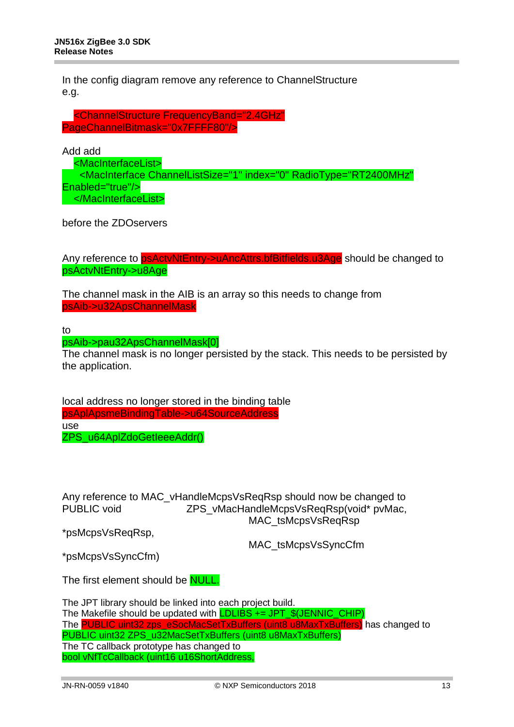In the config diagram remove any reference to ChannelStructure e.g.

 <ChannelStructure FrequencyBand="2.4GHz" PageChannelBitmask="0x7FFFF80"/>

Add add

 <MacInterfaceList> <MacInterface ChannelListSize="1" index="0" RadioType="RT2400MHz" Enabled="true"/> </MacInterfaceList>

before the ZDOservers

Any reference to psActyNtEntry->uAncAttrs.bfBitfields.u3Age should be changed to psActvNtEntry->u8Age

The channel mask in the AIB is an array so this needs to change from psAib->u32ApsChannelMask

to

psAib->pau32ApsChannelMask[0]

The channel mask is no longer persisted by the stack. This needs to be persisted by the application.

local address no longer stored in the binding table psAplApsmeBindingTable->u64SourceAddress use ZPS\_u64AplZdoGetIeeeAddr()

Any reference to MAC\_vHandleMcpsVsReqRsp should now be changed to<br>PUBLIC void 7PS vMacHandleMcpsVsReqRsp(void\* pyMac ZPS\_vMacHandleMcpsVsReqRsp(void\* pvMac, MAC\_tsMcpsVsReqRsp

\*psMcpsVsReqRsp,

MAC\_tsMcpsVsSyncCfm

\*psMcpsVsSyncCfm)

The first element should be **NULL**.

The JPT library should be linked into each project build. The Makefile should be updated with **LDLIBS += JPT\_\$(JENNIC\_CHIP)** The PUBLIC uint32 zps\_eSocMacSetTxBuffers (uint8 u8MaxTxBuffers) has changed to PUBLIC uint32 ZPS\_u32MacSetTxBuffers (uint8 u8MaxTxBuffers) The TC callback prototype has changed to bool vNfTcCallback (uint16 u16ShortAddress,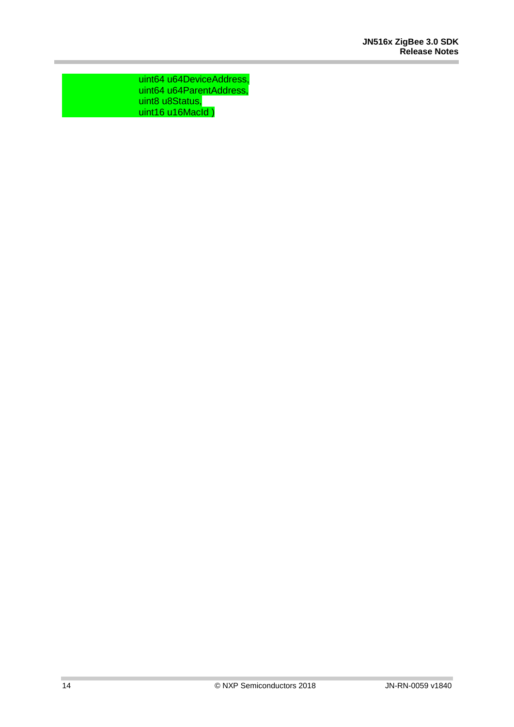uint64 u64DeviceAddress, uint64 u64ParentAddress, uint8 u8Status, uint16 u16MacId )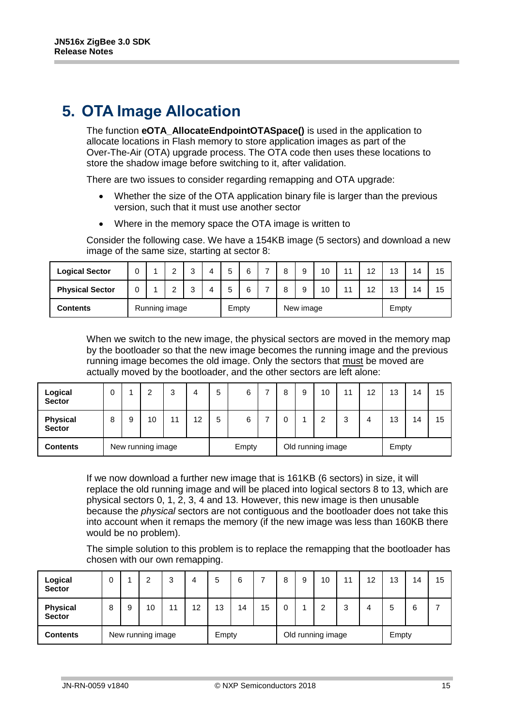## <span id="page-14-0"></span>**5. OTA Image Allocation**

The function **eOTA\_AllocateEndpointOTASpace()** is used in the application to allocate locations in Flash memory to store application images as part of the Over-The-Air (OTA) upgrade process. The OTA code then uses these locations to store the shadow image before switching to it, after validation.

There are two issues to consider regarding remapping and OTA upgrade:

- Whether the size of the OTA application binary file is larger than the previous version, such that it must use another sector
- Where in the memory space the OTA image is written to

Consider the following case. We have a 154KB image (5 sectors) and download a new image of the same size, starting at sector 8:

| <b>Logical Sector</b>            | U |  | $\sqrt{2}$      | ີ<br>ັ |  |       |  | 8 |           | 10 | 4.4            | 12 | 13    | 14 | 15 |
|----------------------------------|---|--|-----------------|--------|--|-------|--|---|-----------|----|----------------|----|-------|----|----|
| <b>Physical Sector</b>           | U |  | $\sqrt{2}$<br>_ | ີ<br>ັ |  |       |  | o |           | 10 | $\overline{A}$ | 12 | 13    | 14 | 15 |
| Running image<br><b>Contents</b> |   |  |                 |        |  | Empty |  |   | New image |    |                |    | Empty |    |    |

When we switch to the new image, the physical sectors are moved in the memory map by the bootloader so that the new image becomes the running image and the previous running image becomes the old image. Only the sectors that must be moved are actually moved by the bootloader, and the other sectors are left alone:

| Logical<br><b>Sector</b>         |   |                   | 2  | 3  | 4  | đ     | 6 |  | 9                 | 10 | 11     | 12    | 13 | 14 | 15 |
|----------------------------------|---|-------------------|----|----|----|-------|---|--|-------------------|----|--------|-------|----|----|----|
| <b>Physical</b><br><b>Sector</b> | 8 | 9                 | 10 | 11 | 12 | b     | 6 |  |                   | ົ  | ົ<br>J | 4     | 13 | 14 | 15 |
| <b>Contents</b>                  |   | New running image |    |    |    | Empty |   |  | Old running image |    |        | Empty |    |    |    |

If we now download a further new image that is 161KB (6 sectors) in size, it will replace the old running image and will be placed into logical sectors 8 to 13, which are physical sectors 0, 1, 2, 3, 4 and 13. However, this new image is then unusable because the *physical* sectors are not contiguous and the bootloader does not take this into account when it remaps the memory (if the new image was less than 160KB there would be no problem).

The simple solution to this problem is to replace the remapping that the bootloader has chosen with our own remapping.

| Logical<br><b>Sector</b>             |   |   | っ  | 3  | 4  | 5     | 6  |    | 9 | 10                | 11    | 12 | 13 | 14 | 15 |
|--------------------------------------|---|---|----|----|----|-------|----|----|---|-------------------|-------|----|----|----|----|
| <b>Physical</b><br><b>Sector</b>     | 8 | 9 | 10 | 11 | 12 | 13    | 14 | 15 |   | ົ                 | 3     | 4  | 5  | 6  |    |
| New running image<br><b>Contents</b> |   |   |    |    |    | Empty |    |    |   | Old running image | Empty |    |    |    |    |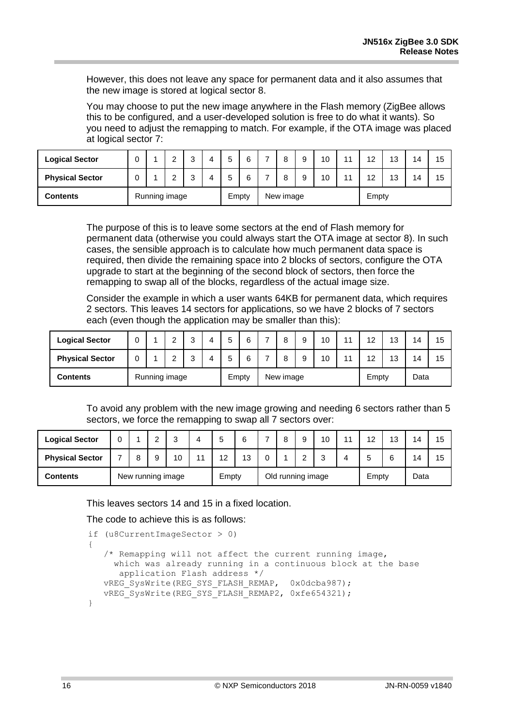However, this does not leave any space for permanent data and it also assumes that the new image is stored at logical sector 8.

You may choose to put the new image anywhere in the Flash memory (ZigBee allows this to be configured, and a user-developed solution is free to do what it wants). So you need to adjust the remapping to match. For example, if the OTA image was placed at logical sector 7:

| <b>Logical Sector</b>            | 0 |  | $\sqrt{2}$ | ົ<br>ບ |  | J     | 6 | $\circ$<br>u | 9 | 10 <sup>°</sup> | 11 | 12    | 13 | 14 | 15 |
|----------------------------------|---|--|------------|--------|--|-------|---|--------------|---|-----------------|----|-------|----|----|----|
| <b>Physical Sector</b>           | 0 |  | c          | ົ<br>ັ |  | ٮ     | 6 | O            | 9 | 10              | 11 | 12    | 13 | 14 | 15 |
| Running image<br><b>Contents</b> |   |  |            |        |  | Empty |   | New image    |   |                 |    | Empty |    |    |    |

The purpose of this is to leave some sectors at the end of Flash memory for permanent data (otherwise you could always start the OTA image at sector 8). In such cases, the sensible approach is to calculate how much permanent data space is required, then divide the remaining space into 2 blocks of sectors, configure the OTA upgrade to start at the beginning of the second block of sectors, then force the remapping to swap all of the blocks, regardless of the actual image size.

Consider the example in which a user wants 64KB for permanent data, which requires 2 sectors. This leaves 14 sectors for applications, so we have 2 blocks of 7 sectors each (even though the application may be smaller than this):

| <b>Logical Sector</b>  | 0 |               |  | ົ<br>w |  | 5 | ิด<br>U | - | 8         | 10 | 11    | 12<br>. L | 13   | 14 | 15 |
|------------------------|---|---------------|--|--------|--|---|---------|---|-----------|----|-------|-----------|------|----|----|
| <b>Physical Sector</b> | 0 |               |  | ີ      |  | 5 | 6       |   | o<br>O    | 10 | 44    | 19<br>. . | 13   | 14 | 15 |
| Contents               |   | Running image |  |        |  |   | Empty   |   | New image |    | Empty |           | Data |    |    |

To avoid any problem with the new image growing and needing 6 sectors rather than 5 sectors, we force the remapping to swap all 7 sectors over:

| <b>Logical Sector</b>  |                   |  |  | ◠<br>u |       |    |                   |  |  | 9           | 10    | 11 | 12   | 13 | 14 | 15 |
|------------------------|-------------------|--|--|--------|-------|----|-------------------|--|--|-------------|-------|----|------|----|----|----|
| <b>Physical Sector</b> |                   |  |  | 10     | 44    | 12 | 13                |  |  | $\sim$<br>▃ | ົ     |    |      | 6  | 14 | 15 |
| <b>Contents</b>        | New running image |  |  |        | Empty |    | Old running image |  |  |             | Empty |    | Data |    |    |    |

This leaves sectors 14 and 15 in a fixed location.

The code to achieve this is as follows:

```
 if (u8CurrentImageSector > 0)
\left\{\begin{array}{c}1\end{array}\right\} /* Remapping will not affect the current running image,
            which was already running in a continuous block at the base 
             application Flash address */ 
         vREG SysWrite(REG SYS FLASH REMAP, 0x0dcba987);
          vREG_SysWrite(REG_SYS_FLASH_REMAP2, 0xfe654321);
      }
```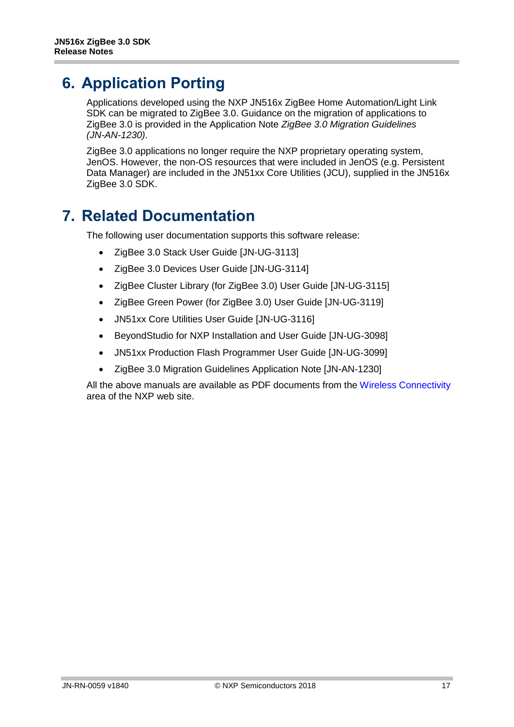### <span id="page-16-0"></span>**6. Application Porting**

Applications developed using the NXP JN516x ZigBee Home Automation/Light Link SDK can be migrated to ZigBee 3.0. Guidance on the migration of applications to ZigBee 3.0 is provided in the Application Note *ZigBee 3.0 Migration Guidelines (JN-AN-1230)*.

ZigBee 3.0 applications no longer require the NXP proprietary operating system, JenOS. However, the non-OS resources that were included in JenOS (e.g. Persistent Data Manager) are included in the JN51xx Core Utilities (JCU), supplied in the JN516x ZigBee 3.0 SDK.

## <span id="page-16-1"></span>**7. Related Documentation**

The following user documentation supports this software release:

- ZigBee 3.0 Stack User Guide [JN-UG-3113]
- ZigBee 3.0 Devices User Guide [JN-UG-3114]
- ZigBee Cluster Library (for ZigBee 3.0) User Guide [JN-UG-3115]
- ZigBee Green Power (for ZigBee 3.0) User Guide [JN-UG-3119]
- JN51xx Core Utilities User Guide [JN-UG-3116]
- BeyondStudio for NXP Installation and User Guide [JN-UG-3098]
- JN51xx Production Flash Programmer User Guide [JN-UG-3099]
- ZigBee 3.0 Migration Guidelines Application Note [JN-AN-1230]

All the above manuals are available as PDF documents from the [Wireless Connectivity](http://www.nxp.com/products/interface-and-connectivity/wireless-connectivity) area of the NXP web site.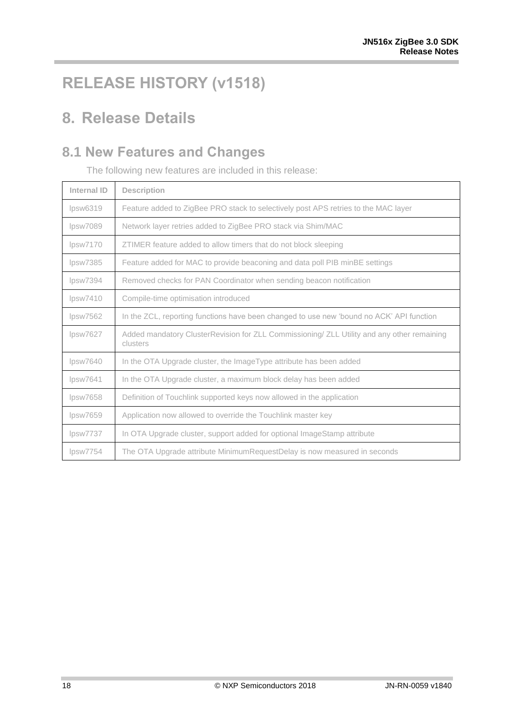## <span id="page-17-0"></span>**RELEASE HISTORY (v1518)**

## <span id="page-17-1"></span>**8. Release Details**

#### <span id="page-17-2"></span>**8.1 New Features and Changes**

The following new features are included in this release:

| Internal ID | <b>Description</b>                                                                                     |
|-------------|--------------------------------------------------------------------------------------------------------|
| lpsw6319    | Feature added to ZigBee PRO stack to selectively post APS retries to the MAC layer                     |
| lpsw7089    | Network layer retries added to ZigBee PRO stack via Shim/MAC                                           |
| lpsw7170    | ZTIMER feature added to allow timers that do not block sleeping                                        |
| lpsw7385    | Feature added for MAC to provide beaconing and data poll PIB minBE settings                            |
| lpsw7394    | Removed checks for PAN Coordinator when sending beacon notification                                    |
| lpsw7410    | Compile-time optimisation introduced                                                                   |
| lpsw7562    | In the ZCL, reporting functions have been changed to use new 'bound no ACK' API function               |
| lpsw7627    | Added mandatory ClusterRevision for ZLL Commissioning/ ZLL Utility and any other remaining<br>clusters |
| lpsw7640    | In the OTA Upgrade cluster, the ImageType attribute has been added                                     |
| lpsw7641    | In the OTA Upgrade cluster, a maximum block delay has been added                                       |
| lpsw7658    | Definition of Touchlink supported keys now allowed in the application                                  |
| lpsw7659    | Application now allowed to override the Touchlink master key                                           |
| lpsw7737    | In OTA Upgrade cluster, support added for optional ImageStamp attribute                                |
| lpsw7754    | The OTA Upgrade attribute MinimumRequestDelay is now measured in seconds                               |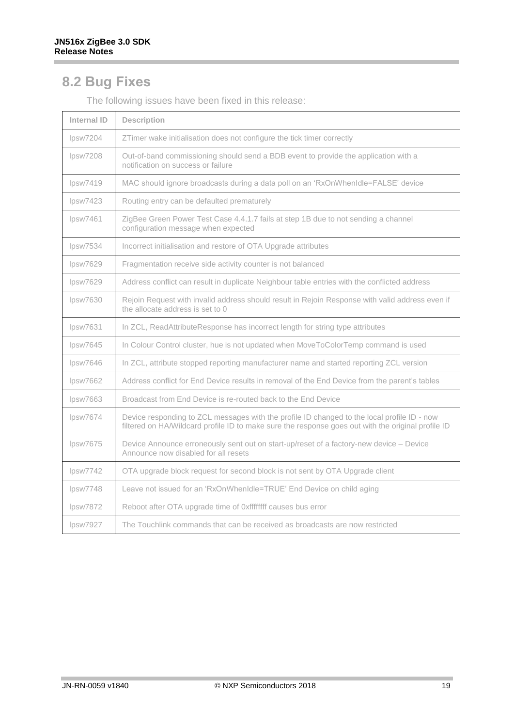#### <span id="page-18-0"></span>**8.2 Bug Fixes**

| Internal ID | <b>Description</b>                                                                                                                                                                                |
|-------------|---------------------------------------------------------------------------------------------------------------------------------------------------------------------------------------------------|
| lpsw7204    | ZTimer wake initialisation does not configure the tick timer correctly                                                                                                                            |
| DSW7208     | Out-of-band commissioning should send a BDB event to provide the application with a<br>notification on success or failure                                                                         |
| lpsw7419    | MAC should ignore broadcasts during a data poll on an 'RxOnWhenIdle=FALSE' device                                                                                                                 |
| lpsw7423    | Routing entry can be defaulted prematurely                                                                                                                                                        |
| lossw7461   | ZigBee Green Power Test Case 4.4.1.7 fails at step 1B due to not sending a channel<br>configuration message when expected                                                                         |
| lpsw7534    | Incorrect initialisation and restore of OTA Upgrade attributes                                                                                                                                    |
| lpsw7629    | Fragmentation receive side activity counter is not balanced                                                                                                                                       |
| DSW7629     | Address conflict can result in duplicate Neighbour table entries with the conflicted address                                                                                                      |
| lpsw7630    | Rejoin Request with invalid address should result in Rejoin Response with valid address even if<br>the allocate address is set to 0                                                               |
| lpsw7631    | In ZCL, ReadAttributeResponse has incorrect length for string type attributes                                                                                                                     |
| lpsw7645    | In Colour Control cluster, hue is not updated when MoveToColorTemp command is used                                                                                                                |
| lpsw7646    | In ZCL, attribute stopped reporting manufacturer name and started reporting ZCL version                                                                                                           |
| lpsw7662    | Address conflict for End Device results in removal of the End Device from the parent's tables                                                                                                     |
| lpsw7663    | Broadcast from End Device is re-routed back to the End Device                                                                                                                                     |
| lpsw7674    | Device responding to ZCL messages with the profile ID changed to the local profile ID - now<br>filtered on HA/Wildcard profile ID to make sure the response goes out with the original profile ID |
| lpsw7675    | Device Announce erroneously sent out on start-up/reset of a factory-new device - Device<br>Announce now disabled for all resets                                                                   |
| lossw7742   | OTA upgrade block request for second block is not sent by OTA Upgrade client                                                                                                                      |
| lpsw7748    | Leave not issued for an 'RxOnWhenIdle=TRUE' End Device on child aging                                                                                                                             |
| lpsw7872    | Reboot after OTA upgrade time of 0xffffffff causes bus error                                                                                                                                      |
| lpsw7927    | The Touchlink commands that can be received as broadcasts are now restricted                                                                                                                      |

The following issues have been fixed in this release: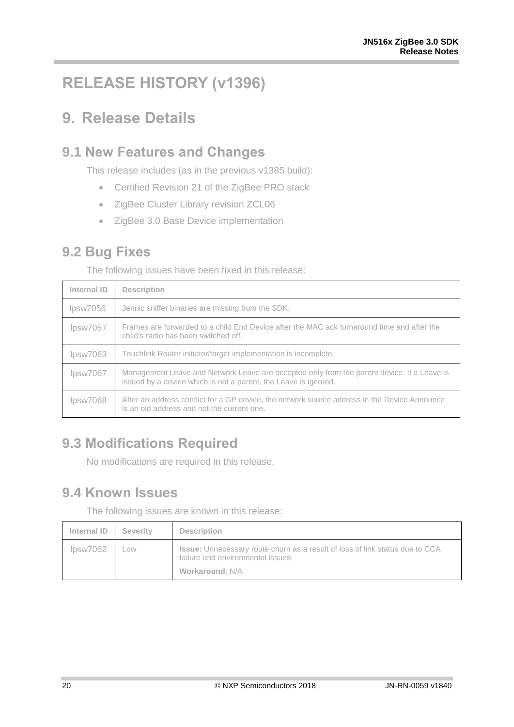## <span id="page-19-0"></span>**RELEASE HISTORY (v1396)**

## <span id="page-19-1"></span>**9. Release Details**

#### <span id="page-19-2"></span>**9.1 New Features and Changes**

This release includes (as in the previous v1385 build):

- Certified Revision 21 of the ZigBee PRO stack
- ZigBee Cluster Library revision ZCL06
- ZigBee 3.0 Base Device implementation

#### <span id="page-19-3"></span>**9.2 Bug Fixes**

The following issues have been fixed in this release:

| Internal ID | <b>Description</b>                                                                                                                                            |  |  |  |  |  |
|-------------|---------------------------------------------------------------------------------------------------------------------------------------------------------------|--|--|--|--|--|
| lpsw7056    | Jennic sniffer binaries are missing from the SDK.                                                                                                             |  |  |  |  |  |
| lpsw7057    | Frames are forwarded to a child End Device after the MAC ack turnaround time and after the<br>child's radio has been switched off.                            |  |  |  |  |  |
| lpsw7063    | Touchlink Router initiator/target implementation is incomplete.                                                                                               |  |  |  |  |  |
| lpsw7067    | Management Leave and Network Leave are accepted only from the parent device. If a Leave is<br>issued by a device which is not a parent, the Leave is ignored. |  |  |  |  |  |
| lpsw7068    | After an address conflict for a GP device, the network source address in the Device Announce<br>is an old address and not the current one.                    |  |  |  |  |  |

#### <span id="page-19-4"></span>**9.3 Modifications Required**

No modifications are required in this release.

#### <span id="page-19-5"></span>**9.4 Known Issues**

The following issues are known in this release:

| Internal ID | Severity | <b>Description</b>                                                                                                                   |
|-------------|----------|--------------------------------------------------------------------------------------------------------------------------------------|
| DSW7062     | Low      | Issue: Unnecessary route churn as a result of loss of link status due to CCA<br>failure and environmental issues.<br>Workaround: N/A |